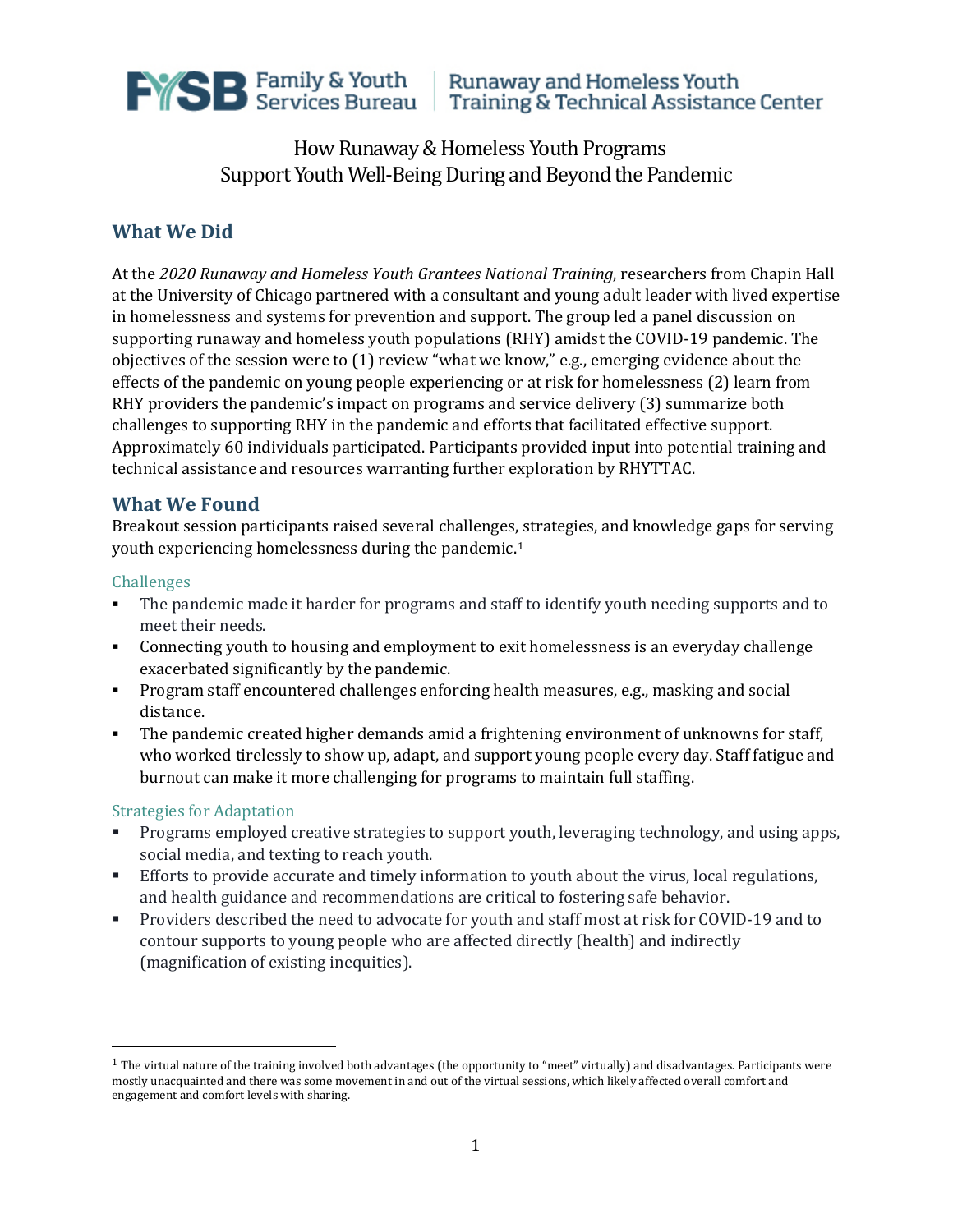

Runaway and Homeless Youth Training & Technical Assistance Center

# How Runaway & Homeless Youth Programs Support Youth Well-Being During and Beyond the Pandemic

## **What We Did**

At the *2020 Runaway and Homeless Youth Grantees National Training*, researchers from Chapin Hall at the University of Chicago partnered with a consultant and young adult leader with lived expertise in homelessness and systems for prevention and support. The group led a panel discussion on supporting runaway and homeless youth populations (RHY) amidst the COVID-19 pandemic. The objectives of the session were to (1) review "what we know," e.g., emerging evidence about the effects of the pandemic on young people experiencing or at risk for homelessness (2) learn from RHY providers the pandemic's impact on programs and service delivery (3) summarize both challenges to supporting RHY in the pandemic and efforts that facilitated effective support. Approximately 60 individuals participated. Participants provided input into potential training and technical assistance and resources warranting further exploration by RHYTTAC.

### **What We Found**

Breakout session participants raised several challenges, strategies, and knowledge gaps for serving youth experiencing homelessness during the pandemic.[1](#page-0-0)

#### Challenges

- The pandemic made it harder for programs and staff to identify youth needing supports and to meet their needs.
- Connecting youth to housing and employment to exit homelessness is an everyday challenge exacerbated significantly by the pandemic.
- **Program staff encountered challenges enforcing health measures, e.g., masking and social** distance.
- The pandemic created higher demands amid a frightening environment of unknowns for staff, who worked tirelessly to show up, adapt, and support young people every day. Staff fatigue and burnout can make it more challenging for programs to maintain full staffing.

#### Strategies for Adaptation

- **Programs employed creative strategies to support youth, leveraging technology, and using apps,** social media, and texting to reach youth.
- Efforts to provide accurate and timely information to youth about the virus, local regulations, and health guidance and recommendations are critical to fostering safe behavior.
- Providers described the need to advocate for youth and staff most at risk for COVID-19 and to contour supports to young people who are affected directly (health) and indirectly (magnification of existing inequities).

<span id="page-0-0"></span> $1$  The virtual nature of the training involved both advantages (the opportunity to "meet" virtually) and disadvantages. Participants were mostly unacquainted and there was some movement in and out of the virtual sessions, which likely affected overall comfort and engagement and comfort levels with sharing.